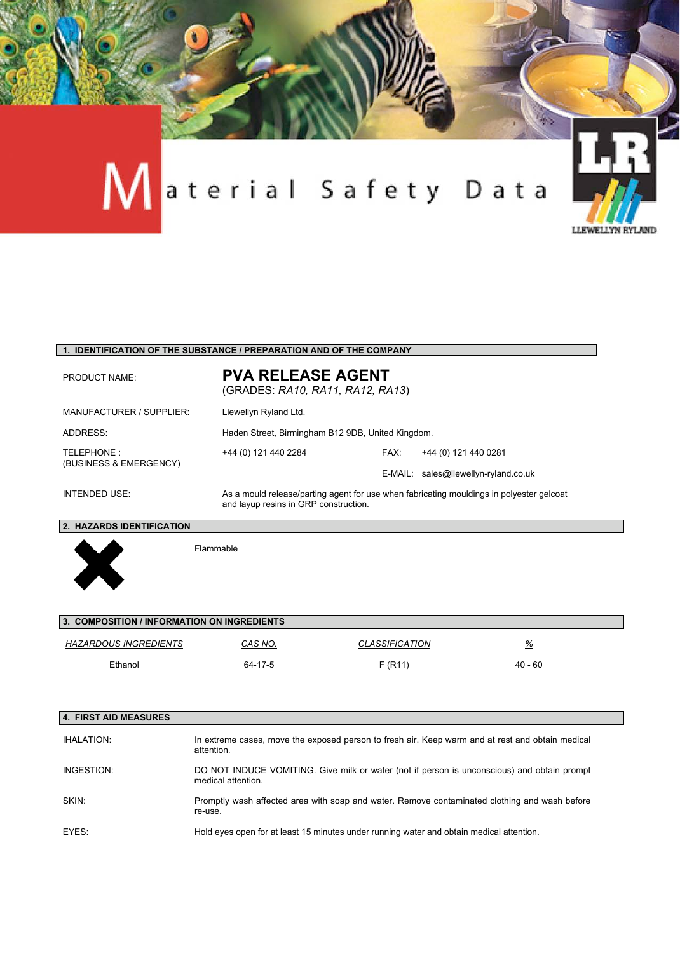

#### **1. IDENTIFICATION OF THE SUBSTANCE / PREPARATION AND OF THE COMPANY**

| <b>PRODUCT NAME:</b>                 | <b>PVA RELEASE AGENT</b><br>(GRADES: RA10, RA11, RA12, RA13)                                                                      |      |                                      |
|--------------------------------------|-----------------------------------------------------------------------------------------------------------------------------------|------|--------------------------------------|
| MANUFACTURER / SUPPLIER:             | Llewellyn Ryland Ltd.                                                                                                             |      |                                      |
| ADDRESS:                             | Haden Street, Birmingham B12 9DB, United Kingdom.                                                                                 |      |                                      |
| TELEPHONE:<br>(BUSINESS & EMERGENCY) | +44 (0) 121 440 2284                                                                                                              | FAX: | +44 (0) 121 440 0281                 |
|                                      |                                                                                                                                   |      | E-MAIL: sales@llewellyn-ryland.co.uk |
| INTENDED USE:                        | As a mould release/parting agent for use when fabricating mouldings in polyester gelcoat<br>and layup resins in GRP construction. |      |                                      |

#### **2. HAZARDS IDENTIFICATION**



Flammable

| 3. COMPOSITION / INFORMATION ON INGREDIENTS |         |                              |           |  |
|---------------------------------------------|---------|------------------------------|-----------|--|
| HAZARDOUS INGREDIENTS                       | CAS NO. | <i><b>CLASSIFICATION</b></i> | %         |  |
| Ethanol                                     | 64-17-5 | F(R11)                       | $40 - 60$ |  |

| 4. FIRST AID MEASURES |                                                                                                                   |
|-----------------------|-------------------------------------------------------------------------------------------------------------------|
| <b>IHALATION:</b>     | In extreme cases, move the exposed person to fresh air. Keep warm and at rest and obtain medical<br>attention.    |
| INGESTION:            | DO NOT INDUCE VOMITING. Give milk or water (not if person is unconscious) and obtain prompt<br>medical attention. |
| SKIN:                 | Promptly wash affected area with soap and water. Remove contaminated clothing and wash before<br>re-use.          |
| EYES:                 | Hold eyes open for at least 15 minutes under running water and obtain medical attention.                          |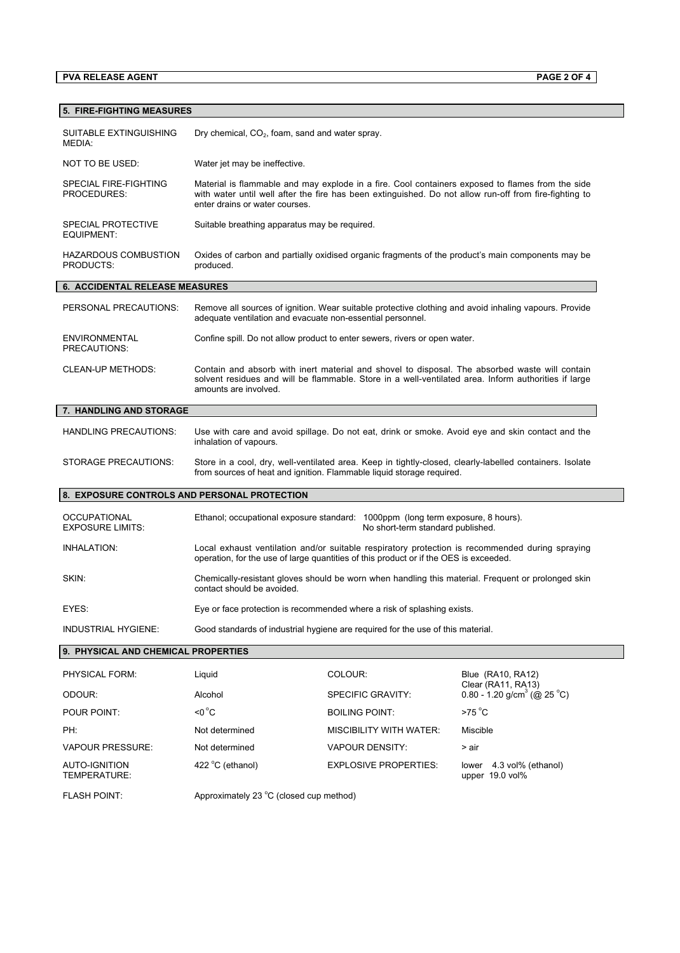# **PVA RELEASE AGENT PAGE 2 OF 4**

| <b>5. FIRE-FIGHTING MEASURES</b>               |                                                                                                                                                                                                                                              |                                                                            |                                                                                                       |  |
|------------------------------------------------|----------------------------------------------------------------------------------------------------------------------------------------------------------------------------------------------------------------------------------------------|----------------------------------------------------------------------------|-------------------------------------------------------------------------------------------------------|--|
| SUITABLE EXTINGUISHING<br>MEDIA:               | Dry chemical, CO <sub>2</sub> , foam, sand and water spray.                                                                                                                                                                                  |                                                                            |                                                                                                       |  |
| NOT TO BE USED:                                | Water jet may be ineffective.                                                                                                                                                                                                                |                                                                            |                                                                                                       |  |
| SPECIAL FIRE-FIGHTING<br>PROCEDURES:           | Material is flammable and may explode in a fire. Cool containers exposed to flames from the side<br>with water until well after the fire has been extinguished. Do not allow run-off from fire-fighting to<br>enter drains or water courses. |                                                                            |                                                                                                       |  |
| <b>SPECIAL PROTECTIVE</b><br>EQUIPMENT:        | Suitable breathing apparatus may be required.                                                                                                                                                                                                |                                                                            |                                                                                                       |  |
| <b>HAZARDOUS COMBUSTION</b><br>PRODUCTS:       | Oxides of carbon and partially oxidised organic fragments of the product's main components may be<br>produced.                                                                                                                               |                                                                            |                                                                                                       |  |
| <b>6. ACCIDENTAL RELEASE MEASURES</b>          |                                                                                                                                                                                                                                              |                                                                            |                                                                                                       |  |
| PERSONAL PRECAUTIONS:                          | adequate ventilation and evacuate non-essential personnel.                                                                                                                                                                                   |                                                                            | Remove all sources of ignition. Wear suitable protective clothing and avoid inhaling vapours. Provide |  |
| <b>ENVIRONMENTAL</b><br>PRECAUTIONS:           |                                                                                                                                                                                                                                              | Confine spill. Do not allow product to enter sewers, rivers or open water. |                                                                                                       |  |
| <b>CLEAN-UP METHODS:</b>                       | Contain and absorb with inert material and shovel to disposal. The absorbed waste will contain<br>solvent residues and will be flammable. Store in a well-ventilated area. Inform authorities if large<br>amounts are involved.              |                                                                            |                                                                                                       |  |
| 7. HANDLING AND STORAGE                        |                                                                                                                                                                                                                                              |                                                                            |                                                                                                       |  |
| <b>HANDLING PRECAUTIONS:</b>                   | Use with care and avoid spillage. Do not eat, drink or smoke. Avoid eye and skin contact and the<br>inhalation of vapours.                                                                                                                   |                                                                            |                                                                                                       |  |
| <b>STORAGE PRECAUTIONS:</b>                    | Store in a cool, dry, well-ventilated area. Keep in tightly-closed, clearly-labelled containers. Isolate<br>from sources of heat and ignition. Flammable liquid storage required.                                                            |                                                                            |                                                                                                       |  |
| 8. EXPOSURE CONTROLS AND PERSONAL PROTECTION   |                                                                                                                                                                                                                                              |                                                                            |                                                                                                       |  |
| <b>OCCUPATIONAL</b><br><b>EXPOSURE LIMITS:</b> | Ethanol; occupational exposure standard: 1000ppm (long term exposure, 8 hours).<br>No short-term standard published.                                                                                                                         |                                                                            |                                                                                                       |  |
| INHALATION:                                    | Local exhaust ventilation and/or suitable respiratory protection is recommended during spraying<br>operation, for the use of large quantities of this product or if the OES is exceeded.                                                     |                                                                            |                                                                                                       |  |
| SKIN:                                          | Chemically-resistant gloves should be worn when handling this material. Frequent or prolonged skin<br>contact should be avoided.                                                                                                             |                                                                            |                                                                                                       |  |
| EYES:                                          | Eye or face protection is recommended where a risk of splashing exists.                                                                                                                                                                      |                                                                            |                                                                                                       |  |
| INDUSTRIAL HYGIENE:                            | Good standards of industrial hygiene are reguired for the use of this material.                                                                                                                                                              |                                                                            |                                                                                                       |  |
| 9. PHYSICAL AND CHEMICAL PROPERTIES            |                                                                                                                                                                                                                                              |                                                                            |                                                                                                       |  |
| PHYSICAL FORM:                                 | Liquid                                                                                                                                                                                                                                       | COLOUR:                                                                    | Blue (RA10, RA12)                                                                                     |  |
| ODOUR:                                         | Alcohol                                                                                                                                                                                                                                      | SPECIFIC GRAVITY:                                                          | Clear (RA11, RA13)<br>0.80 - 1.20 g/cm <sup>3</sup> (@ 25 °C)                                         |  |
| POUR POINT:                                    | $\leq 0^{\circ}C$                                                                                                                                                                                                                            | <b>BOILING POINT:</b>                                                      | $>75^{\circ}$ C                                                                                       |  |
| PH:                                            | Not determined                                                                                                                                                                                                                               | <b>MISCIBILITY WITH WATER:</b>                                             | Miscible                                                                                              |  |
| <b>VAPOUR PRESSURE:</b>                        | Not determined                                                                                                                                                                                                                               | <b>VAPOUR DENSITY:</b>                                                     | > air                                                                                                 |  |
| <b>AUTO-IGNITION</b><br>TEMPERATURE:           | 422 °C (ethanol)                                                                                                                                                                                                                             | <b>EXPLOSIVE PROPERTIES:</b>                                               | lower 4.3 vol% (ethanol)<br>upper 19.0 vol%                                                           |  |
| <b>FLASH POINT:</b>                            | Approximately 23 °C (closed cup method)                                                                                                                                                                                                      |                                                                            |                                                                                                       |  |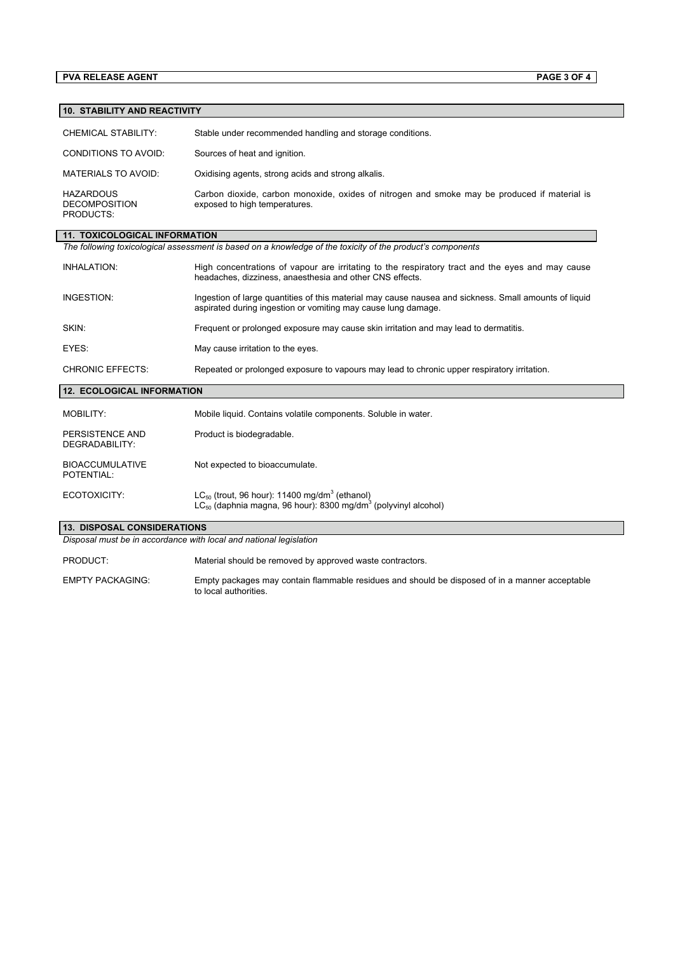#### **PVA RELEASE AGENT PAGE 3 OF 4**

#### **10. STABILITY AND REACTIVITY**

| CHEMICAL STABILITY:                                   | Stable under recommended handling and storage conditions.                                                                     |
|-------------------------------------------------------|-------------------------------------------------------------------------------------------------------------------------------|
| CONDITIONS TO AVOID:                                  | Sources of heat and ignition.                                                                                                 |
| MATERIALS TO AVOID:                                   | Oxidising agents, strong acids and strong alkalis.                                                                            |
| <b>HAZARDOUS</b><br><b>DECOMPOSITION</b><br>PRODUCTS: | Carbon dioxide, carbon monoxide, oxides of nitrogen and smoke may be produced if material is<br>exposed to high temperatures. |

## **11. TOXICOLOGICAL INFORMATION**

*The following toxicological assessment is based on a knowledge of the toxicity of the product's components*

| INHALATION:             | High concentrations of vapour are irritating to the respiratory tract and the eyes and may cause<br>headaches, dizziness, anaesthesia and other CNS effects.           |
|-------------------------|------------------------------------------------------------------------------------------------------------------------------------------------------------------------|
| INGESTION:              | Ingestion of large quantities of this material may cause nausea and sickness. Small amounts of liquid<br>aspirated during ingestion or vomiting may cause lung damage. |
| SKIN:                   | Frequent or prolonged exposure may cause skin irritation and may lead to dermatitis.                                                                                   |
| EYES:                   | May cause irritation to the eyes.                                                                                                                                      |
| <b>CHRONIC EFFECTS:</b> | Repeated or prolonged exposure to vapours may lead to chronic upper respiratory irritation.                                                                            |

## **12. ECOLOGICAL INFORMATION**

| MOBILITY:                            | Mobile liquid. Contains volatile components. Soluble in water.                                                                                    |
|--------------------------------------|---------------------------------------------------------------------------------------------------------------------------------------------------|
| PERSISTENCE AND<br>DEGRADABILITY:    | Product is biodegradable.                                                                                                                         |
| <b>BIOACCUMULATIVE</b><br>POTENTIAL: | Not expected to bioaccumulate.                                                                                                                    |
| ECOTOXICITY:                         | $LC_{50}$ (trout, 96 hour): 11400 mg/dm <sup>3</sup> (ethanol)<br>$LC_{50}$ (daphnia magna, 96 hour): 8300 mg/dm <sup>3</sup> (polyvinyl alcohol) |

# **13. DISPOSAL CONSIDERATIONS**

*Disposal must be in accordance with local and national legislation*

PRODUCT: Material should be removed by approved waste contractors.

EMPTY PACKAGING: Empty packages may contain flammable residues and should be disposed of in a manner acceptable to local authorities.